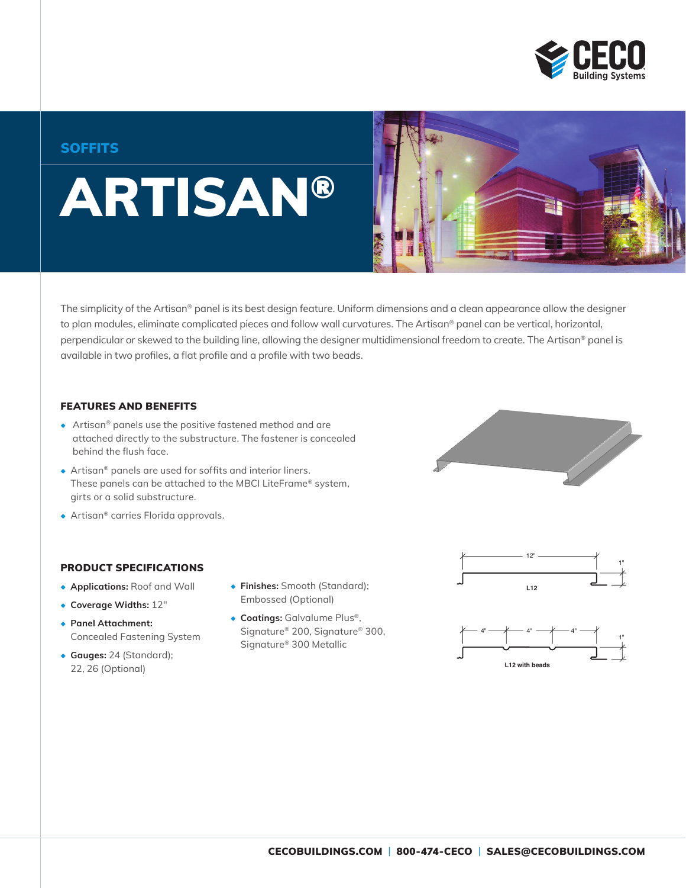

### **SOFFITS**

# ARTISAN®

The simplicity of the Artisan® panel is its best design feature. Uniform dimensions and a clean appearance allow the designer to plan modules, eliminate complicated pieces and follow wall curvatures. The Artisan® panel can be vertical, horizontal, perpendicular or skewed to the building line, allowing the designer multidimensional freedom to create. The Artisan® panel is available in two profiles, a flat profile and a profile with two beads.

#### FEATURES AND BENEFITS

- ◆ Artisan® panels use the positive fastened method and are attached directly to the substructure. The fastener is concealed behind the flush face.
- ◆ Artisan® panels are used for soffits and interior liners. These panels can be attached to the MBCI LiteFrame® system, girts or a solid substructure.
- ◆ Artisan® carries Florida approvals.

#### PRODUCT SPECIFICATIONS

- ◆ **Applications:** Roof and Wall
- ◆ **Coverage Widths:** 12"
- ◆ **Panel Attachment:** Concealed Fastening System
- ◆ **Gauges:** 24 (Standard); 22, 26 (Optional)
- ◆ **Finishes:** Smooth (Standard); Embossed (Optional)
- ◆ **Coatings:** Galvalume Plus®, Signature® 200, Signature® 300, Signature® 300 Metallic